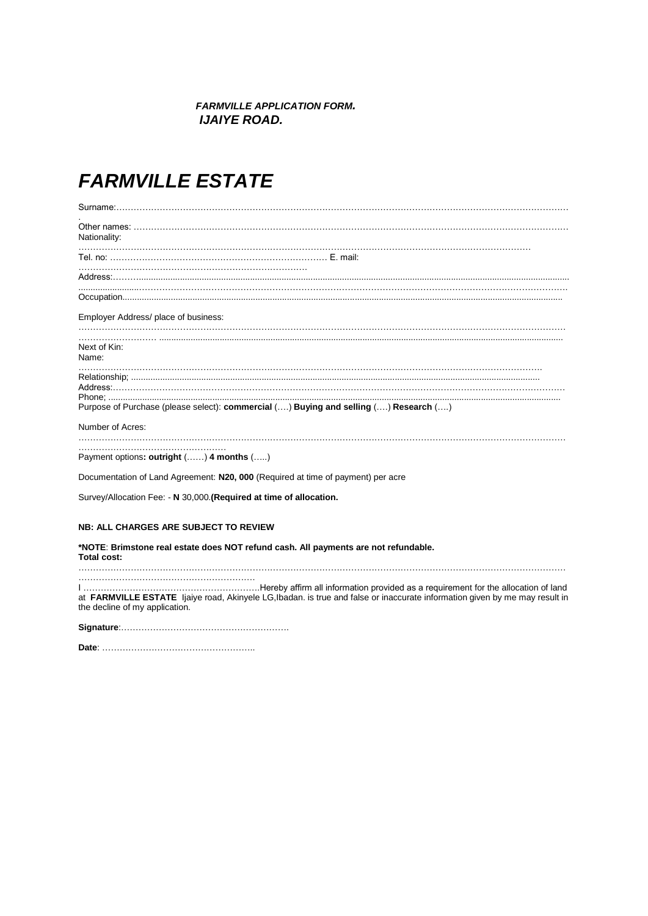## *FARMVILLE APPLICATION FORM. IJAIYE ROAD.*

## *FARMVILLE ESTATE*

| Nationality:                                                                         |  |
|--------------------------------------------------------------------------------------|--|
|                                                                                      |  |
|                                                                                      |  |
|                                                                                      |  |
| Employer Address/ place of business:                                                 |  |
| Next of Kin:<br>Name:                                                                |  |
| Purpose of Purchase (please select): commercial () Buying and selling () Research () |  |
| Number of Acres:                                                                     |  |
| Payment options: outright () 4 months ()                                             |  |
| Documentation of Land Agreement: N20, 000 (Required at time of payment) per acre     |  |
| Survey/Allocation Fee: - N 30,000. (Required at time of allocation.                  |  |
| <b>NB: ALL CHARGES ARE SUBJECT TO REVIEW</b>                                         |  |
| *NOTE: Rrimetong raal getata doos NOT rafund cash. All naymants are not rafundable.  |  |

 $8$ rimstone real estate does NOT refund cash. All payments are not refundable.  $\overline{\phantom{a}}$ **Total cost:**  ……………………………………………………………………………………………………………………………………………………

…………………………………………………….

I …………………………………………………….Hereby affirm all information provided as a requirement for the allocation of land at **FARMVILLE ESTATE** Ijaiye road, Akinyele LG,Ibadan. is true and false or inaccurate information given by me may result in the decline of my application.

**Signature**:………………………………………………….

**Date**: ……………………………………………..